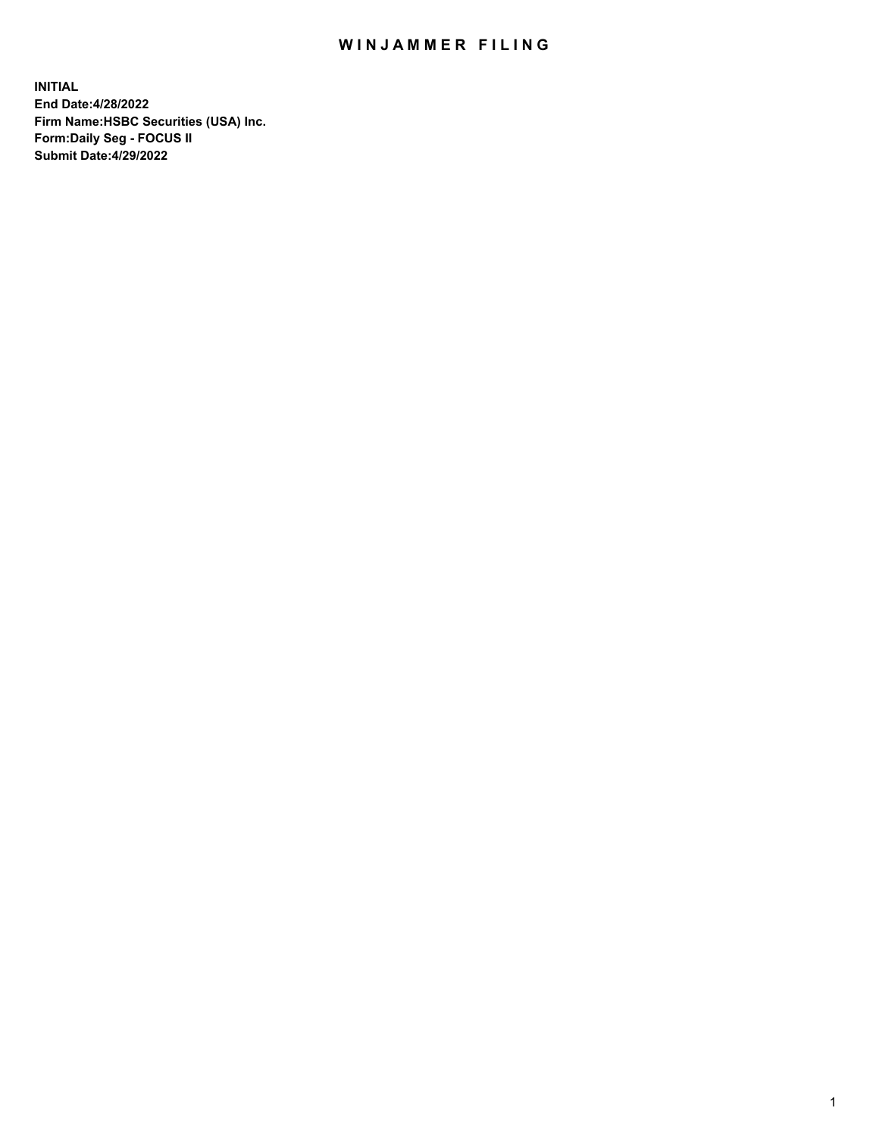## WIN JAMMER FILING

**INITIAL End Date:4/28/2022 Firm Name:HSBC Securities (USA) Inc. Form:Daily Seg - FOCUS II Submit Date:4/29/2022**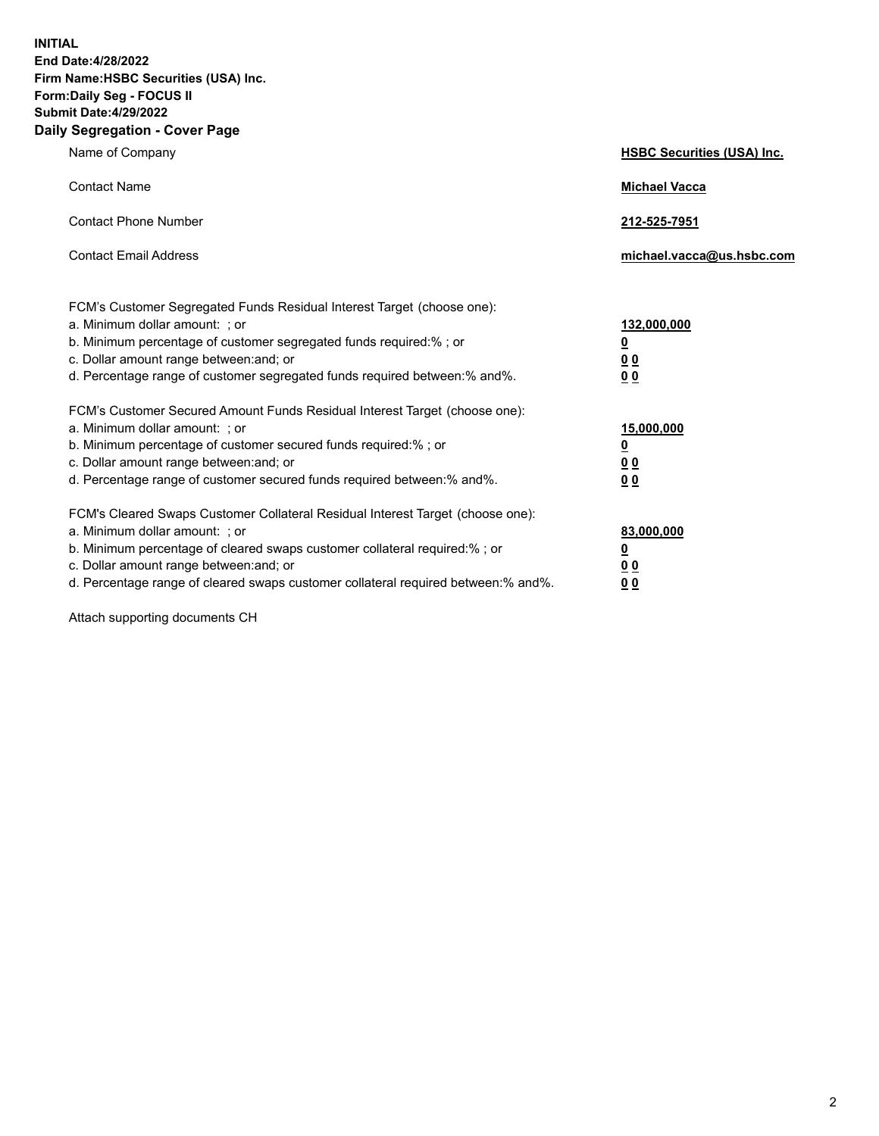**INITIAL End Date:4/28/2022 Firm Name:HSBC Securities (USA) Inc. Form:Daily Seg - FOCUS II Submit Date:4/29/2022 Daily Segregation - Cover Page**

| Name of Company                                                                                                                                                                                                                                                                                                                | <b>HSBC Securities (USA) Inc.</b>                              |
|--------------------------------------------------------------------------------------------------------------------------------------------------------------------------------------------------------------------------------------------------------------------------------------------------------------------------------|----------------------------------------------------------------|
| <b>Contact Name</b>                                                                                                                                                                                                                                                                                                            | <b>Michael Vacca</b>                                           |
| <b>Contact Phone Number</b>                                                                                                                                                                                                                                                                                                    | 212-525-7951                                                   |
| <b>Contact Email Address</b>                                                                                                                                                                                                                                                                                                   | michael.vacca@us.hsbc.com                                      |
| FCM's Customer Segregated Funds Residual Interest Target (choose one):<br>a. Minimum dollar amount: ; or<br>b. Minimum percentage of customer segregated funds required:%; or<br>c. Dollar amount range between: and; or<br>d. Percentage range of customer segregated funds required between:% and%.                          | 132,000,000<br>$\overline{\mathbf{0}}$<br>0 <sub>0</sub><br>00 |
| FCM's Customer Secured Amount Funds Residual Interest Target (choose one):<br>a. Minimum dollar amount: ; or<br>b. Minimum percentage of customer secured funds required:%; or<br>c. Dollar amount range between: and; or<br>d. Percentage range of customer secured funds required between:% and%.                            | 15,000,000<br><u>0</u><br>0 <sub>0</sub><br>00                 |
| FCM's Cleared Swaps Customer Collateral Residual Interest Target (choose one):<br>a. Minimum dollar amount: ; or<br>b. Minimum percentage of cleared swaps customer collateral required:% ; or<br>c. Dollar amount range between: and; or<br>d. Percentage range of cleared swaps customer collateral required between:% and%. | 83,000,000<br><u>0</u><br><u>00</u><br>00                      |

Attach supporting documents CH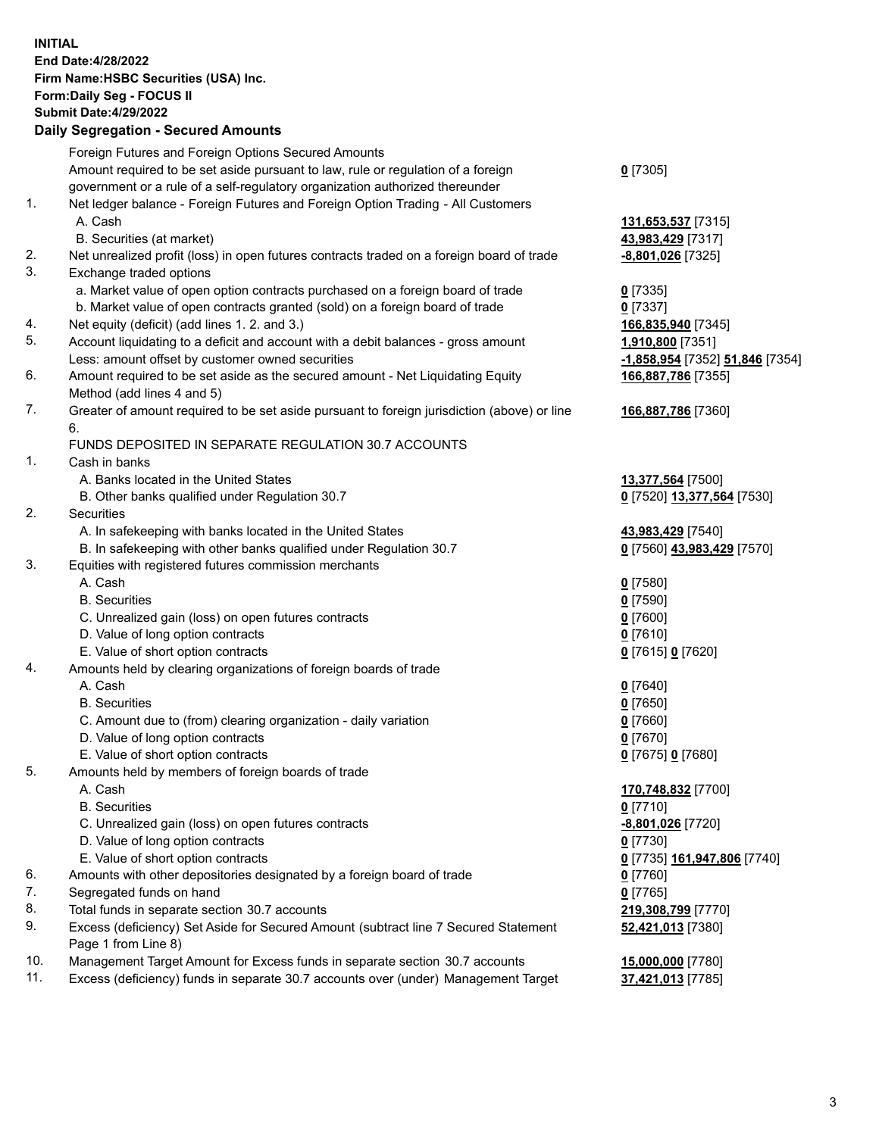**INITIAL End Date:4/28/2022 Firm Name:HSBC Securities (USA) Inc. Form:Daily Seg - FOCUS II Submit Date:4/29/2022 Daily Segregation - Secured Amounts** Foreign Futures and Foreign Options Secured Amounts Amount required to be set aside pursuant to law, rule or regulation of a foreign government or a rule of a self-regulatory organization authorized thereunder **0** [7305] 1. Net ledger balance - Foreign Futures and Foreign Option Trading - All Customers A. Cash **131,653,537** [7315] B. Securities (at market) **43,983,429** [7317] 2. Net unrealized profit (loss) in open futures contracts traded on a foreign board of trade **-8,801,026** [7325] 3. Exchange traded options a. Market value of open option contracts purchased on a foreign board of trade **0** [7335] b. Market value of open contracts granted (sold) on a foreign board of trade **0** [7337] 4. Net equity (deficit) (add lines 1. 2. and 3.) **166,835,940** [7345] 5. Account liquidating to a deficit and account with a debit balances - gross amount **1,910,800** [7351] Less: amount offset by customer owned securities **-1,858,954** [7352] **51,846** [7354] 6. Amount required to be set aside as the secured amount - Net Liquidating Equity Method (add lines 4 and 5) **166,887,786** [7355] 7. Greater of amount required to be set aside pursuant to foreign jurisdiction (above) or line 6. **166,887,786** [7360] FUNDS DEPOSITED IN SEPARATE REGULATION 30.7 ACCOUNTS 1. Cash in banks A. Banks located in the United States **13,377,564** [7500] B. Other banks qualified under Regulation 30.7 **0** [7520] **13,377,564** [7530] 2. Securities A. In safekeeping with banks located in the United States **43,983,429** [7540] B. In safekeeping with other banks qualified under Regulation 30.7 **0** [7560] **43,983,429** [7570] 3. Equities with registered futures commission merchants A. Cash **0** [7580] B. Securities **0** [7590] C. Unrealized gain (loss) on open futures contracts **0** [7600] D. Value of long option contracts **0** [7610] E. Value of short option contracts **0** [7615] **0** [7620] 4. Amounts held by clearing organizations of foreign boards of trade A. Cash **0** [7640] B. Securities **0** [7650] C. Amount due to (from) clearing organization - daily variation **0** [7660] D. Value of long option contracts **0** [7670] E. Value of short option contracts **0** [7675] **0** [7680] 5. Amounts held by members of foreign boards of trade A. Cash **170,748,832** [7700] B. Securities **0** [7710] C. Unrealized gain (loss) on open futures contracts **-8,801,026** [7720] D. Value of long option contracts **0** [7730] E. Value of short option contracts **0** [7735] **161,947,806** [7740] 6. Amounts with other depositories designated by a foreign board of trade **0** [7760] 7. Segregated funds on hand **0** [7765] 8. Total funds in separate section 30.7 accounts **219,308,799** [7770] 9. Excess (deficiency) Set Aside for Secured Amount (subtract line 7 Secured Statement Page 1 from Line 8) **52,421,013** [7380]

10. Management Target Amount for Excess funds in separate section 30.7 accounts **15,000,000** [7780]

11. Excess (deficiency) funds in separate 30.7 accounts over (under) Management Target **37,421,013** [7785]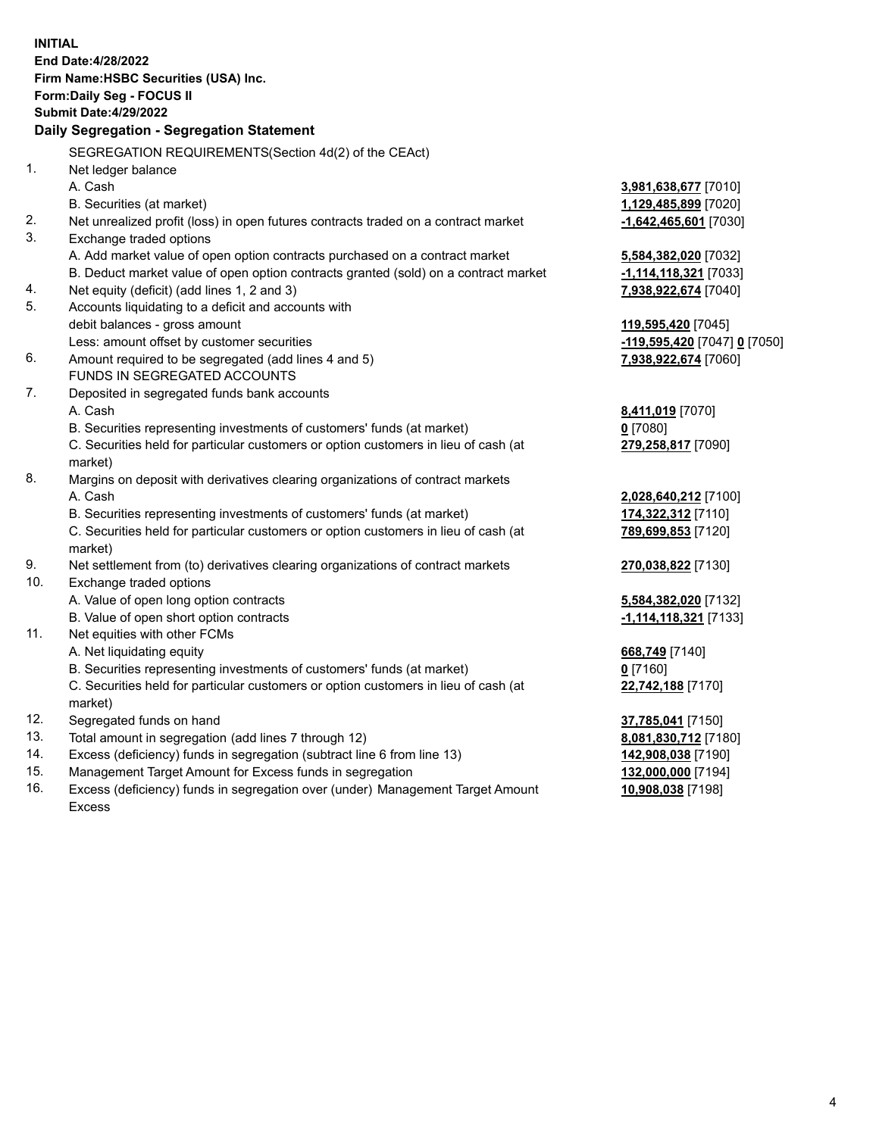**INITIAL End Date:4/28/2022 Firm Name:HSBC Securities (USA) Inc. Form:Daily Seg - FOCUS II Submit Date:4/29/2022 Daily Segregation - Segregation Statement** SEGREGATION REQUIREMENTS(Section 4d(2) of the CEAct) 1. Net ledger balance A. Cash **3,981,638,677** [7010] B. Securities (at market) **1,129,485,899** [7020] 2. Net unrealized profit (loss) in open futures contracts traded on a contract market **-1,642,465,601** [7030] 3. Exchange traded options A. Add market value of open option contracts purchased on a contract market **5,584,382,020** [7032] B. Deduct market value of open option contracts granted (sold) on a contract market **-1,114,118,321** [7033] 4. Net equity (deficit) (add lines 1, 2 and 3) **7,938,922,674** [7040] 5. Accounts liquidating to a deficit and accounts with debit balances - gross amount **119,595,420** [7045] Less: amount offset by customer securities **-119,595,420** [7047] **0** [7050] 6. Amount required to be segregated (add lines 4 and 5) **7,938,922,674** [7060] FUNDS IN SEGREGATED ACCOUNTS 7. Deposited in segregated funds bank accounts A. Cash **8,411,019** [7070] B. Securities representing investments of customers' funds (at market) **0** [7080] C. Securities held for particular customers or option customers in lieu of cash (at market) **279,258,817** [7090] 8. Margins on deposit with derivatives clearing organizations of contract markets A. Cash **2,028,640,212** [7100] B. Securities representing investments of customers' funds (at market) **174,322,312** [7110] C. Securities held for particular customers or option customers in lieu of cash (at market) **789,699,853** [7120] 9. Net settlement from (to) derivatives clearing organizations of contract markets **270,038,822** [7130] 10. Exchange traded options A. Value of open long option contracts **5,584,382,020** [7132] B. Value of open short option contracts **-1,114,118,321** [7133] 11. Net equities with other FCMs A. Net liquidating equity **668,749** [7140] B. Securities representing investments of customers' funds (at market) **0** [7160] C. Securities held for particular customers or option customers in lieu of cash (at market) **22,742,188** [7170] 12. Segregated funds on hand **37,785,041** [7150] 13. Total amount in segregation (add lines 7 through 12) **8,081,830,712** [7180] 14. Excess (deficiency) funds in segregation (subtract line 6 from line 13) **142,908,038** [7190] 15. Management Target Amount for Excess funds in segregation **132,000,000** [7194] 16. Excess (deficiency) funds in segregation over (under) Management Target Amount **10,908,038** [7198]

Excess